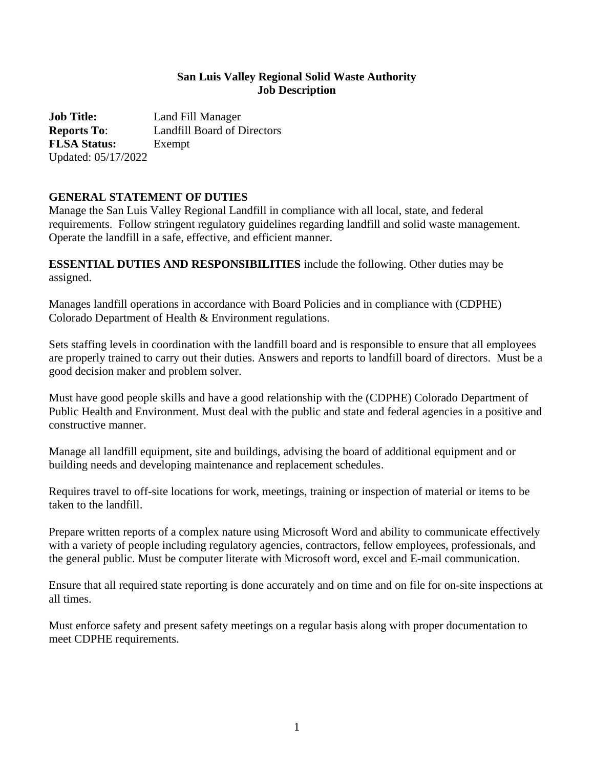#### **San Luis Valley Regional Solid Waste Authority Job Description**

**Job Title:** Land Fill Manager **Reports To**: Landfill Board of Directors **FLSA Status:** Exempt Updated: 05/17/2022

## **GENERAL STATEMENT OF DUTIES**

Manage the San Luis Valley Regional Landfill in compliance with all local, state, and federal requirements. Follow stringent regulatory guidelines regarding landfill and solid waste management. Operate the landfill in a safe, effective, and efficient manner.

**ESSENTIAL DUTIES AND RESPONSIBILITIES** include the following. Other duties may be assigned.

Manages landfill operations in accordance with Board Policies and in compliance with (CDPHE) Colorado Department of Health & Environment regulations.

Sets staffing levels in coordination with the landfill board and is responsible to ensure that all employees are properly trained to carry out their duties. Answers and reports to landfill board of directors. Must be a good decision maker and problem solver.

Must have good people skills and have a good relationship with the (CDPHE) Colorado Department of Public Health and Environment. Must deal with the public and state and federal agencies in a positive and constructive manner.

Manage all landfill equipment, site and buildings, advising the board of additional equipment and or building needs and developing maintenance and replacement schedules.

Requires travel to off-site locations for work, meetings, training or inspection of material or items to be taken to the landfill.

Prepare written reports of a complex nature using Microsoft Word and ability to communicate effectively with a variety of people including regulatory agencies, contractors, fellow employees, professionals, and the general public. Must be computer literate with Microsoft word, excel and E-mail communication.

Ensure that all required state reporting is done accurately and on time and on file for on-site inspections at all times.

Must enforce safety and present safety meetings on a regular basis along with proper documentation to meet CDPHE requirements.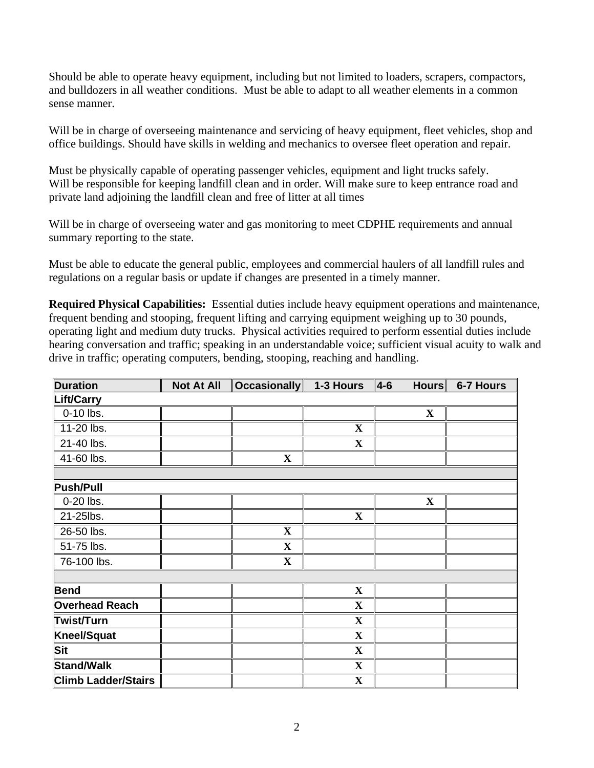Should be able to operate heavy equipment, including but not limited to loaders, scrapers, compactors, and bulldozers in all weather conditions. Must be able to adapt to all weather elements in a common sense manner.

Will be in charge of overseeing maintenance and servicing of heavy equipment, fleet vehicles, shop and office buildings. Should have skills in welding and mechanics to oversee fleet operation and repair.

Must be physically capable of operating passenger vehicles, equipment and light trucks safely. Will be responsible for keeping landfill clean and in order. Will make sure to keep entrance road and private land adjoining the landfill clean and free of litter at all times

Will be in charge of overseeing water and gas monitoring to meet CDPHE requirements and annual summary reporting to the state.

Must be able to educate the general public, employees and commercial haulers of all landfill rules and regulations on a regular basis or update if changes are presented in a timely manner.

**Required Physical Capabilities:** Essential duties include heavy equipment operations and maintenance, frequent bending and stooping, frequent lifting and carrying equipment weighing up to 30 pounds, operating light and medium duty trucks. Physical activities required to perform essential duties include hearing conversation and traffic; speaking in an understandable voice; sufficient visual acuity to walk and drive in traffic; operating computers, bending, stooping, reaching and handling.

| <b>Duration</b>            | <b>Not At All</b> | <b>Occasionally</b> | 1-3 Hours    | $ 4-6 $<br><b>Hours</b> | 6-7 Hours |
|----------------------------|-------------------|---------------------|--------------|-------------------------|-----------|
| Lift/Carry                 |                   |                     |              |                         |           |
| 0-10 lbs.                  |                   |                     |              | $\mathbf{X}$            |           |
| 11-20 lbs.                 |                   |                     | $\mathbf{X}$ |                         |           |
| 21-40 lbs.                 |                   |                     | $\mathbf{X}$ |                         |           |
| 41-60 lbs.                 |                   | $\mathbf{X}$        |              |                         |           |
|                            |                   |                     |              |                         |           |
| <b>Push/Pull</b>           |                   |                     |              |                         |           |
| 0-20 lbs.                  |                   |                     |              | $\mathbf X$             |           |
| 21-25lbs.                  |                   |                     | $\mathbf X$  |                         |           |
| 26-50 lbs.                 |                   | $\mathbf{X}$        |              |                         |           |
| 51-75 lbs.                 |                   | $\mathbf{X}$        |              |                         |           |
| 76-100 lbs.                |                   | $\mathbf X$         |              |                         |           |
|                            |                   |                     |              |                         |           |
| <b>Bend</b>                |                   |                     | $\mathbf{X}$ |                         |           |
| <b>Overhead Reach</b>      |                   |                     | $\mathbf{X}$ |                         |           |
| Twist/Turn                 |                   |                     | $\mathbf{X}$ |                         |           |
| <b>Kneel/Squat</b>         |                   |                     | $\mathbf{X}$ |                         |           |
| <b>Sit</b>                 |                   |                     | $\mathbf{X}$ |                         |           |
| <b>Stand/Walk</b>          |                   |                     | $\mathbf{X}$ |                         |           |
| <b>Climb Ladder/Stairs</b> |                   |                     | $\mathbf{X}$ |                         |           |